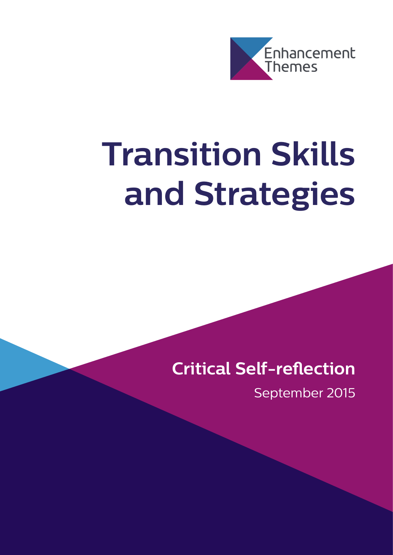

# **Transition Skills and Strategies**

# **Critical Self-reflection**

September 2015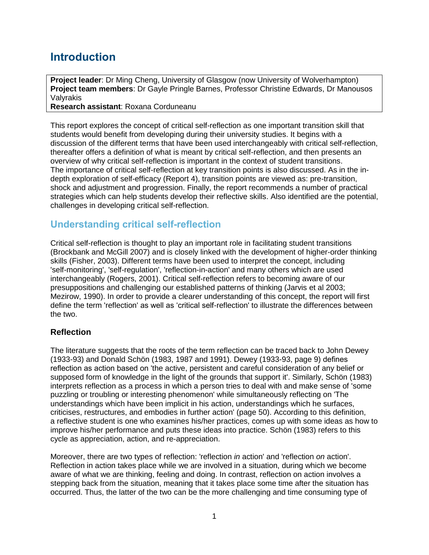# **Introduction**

**Project leader**: Dr Ming Cheng, University of Glasgow (now University of Wolverhampton) **Project team members**: Dr Gayle Pringle Barnes, Professor Christine Edwards, Dr Manousos **Valvrakis Research assistant**: Roxana Corduneanu

This report explores the concept of critical self-reflection as one important transition skill that students would benefit from developing during their university studies. It begins with a discussion of the different terms that have been used interchangeably with critical self-reflection, thereafter offers a definition of what is meant by critical self-reflection, and then presents an overview of why critical self-reflection is important in the context of student transitions. The importance of critical self-reflection at key transition points is also discussed. As in the indepth exploration of self-efficacy (Report 4), transition points are viewed as: pre-transition, shock and adjustment and progression. Finally, the report recommends a number of practical strategies which can help students develop their reflective skills. Also identified are the potential, challenges in developing critical self-reflection.

## **Understanding critical self-reflection**

Critical self-reflection is thought to play an important role in facilitating student transitions (Brockbank and McGill 2007) and is closely linked with the development of higher-order thinking skills (Fisher, 2003). Different terms have been used to interpret the concept, including 'self-monitoring', 'self-regulation', 'reflection-in-action' and many others which are used interchangeably (Rogers, 2001). Critical self-reflection refers to becoming aware of our presuppositions and challenging our established patterns of thinking (Jarvis et al 2003; Mezirow, 1990). In order to provide a clearer understanding of this concept, the report will first define the term 'reflection' as well as 'critical self-reflection' to illustrate the differences between the two.

#### **Reflection**

The literature suggests that the roots of the term reflection can be traced back to John Dewey (1933-93) and Donald Schön (1983, 1987 and 1991). Dewey (1933-93, page 9) defines reflection as action based on 'the active, persistent and careful consideration of any belief or supposed form of knowledge in the light of the grounds that support it'. Similarly, Schön (1983) interprets reflection as a process in which a person tries to deal with and make sense of 'some puzzling or troubling or interesting phenomenon' while simultaneously reflecting on 'The understandings which have been implicit in his action, understandings which he surfaces, criticises, restructures, and embodies in further action' (page 50). According to this definition, a reflective student is one who examines his/her practices, comes up with some ideas as how to improve his/her performance and puts these ideas into practice. Schön (1983) refers to this cycle as appreciation, action, and re-appreciation.

Moreover, there are two types of reflection: 'reflection *in* action' and 'reflection *on* action'. Reflection in action takes place while we are involved in a situation, during which we become aware of what we are thinking, feeling and doing. In contrast, reflection on action involves a stepping back from the situation, meaning that it takes place some time after the situation has occurred. Thus, the latter of the two can be the more challenging and time consuming type of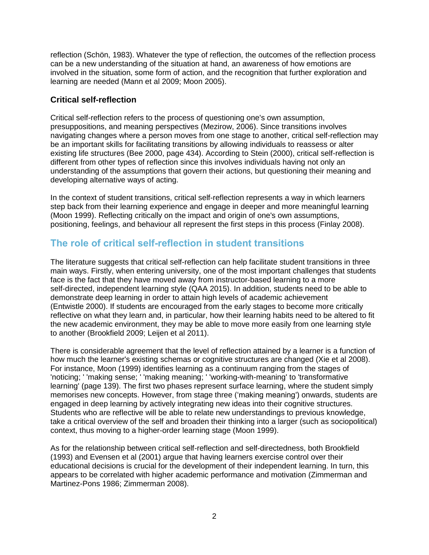reflection (Schön, 1983). Whatever the type of reflection, the outcomes of the reflection process can be a new understanding of the situation at hand, an awareness of how emotions are involved in the situation, some form of action, and the recognition that further exploration and learning are needed (Mann et al 2009; Moon 2005).

#### **Critical self-reflection**

Critical self-reflection refers to the process of questioning one's own assumption, presuppositions, and meaning perspectives (Mezirow, 2006). Since transitions involves navigating changes where a person moves from one stage to another, critical self-reflection may be an important skills for facilitating transitions by allowing individuals to reassess or alter existing life structures (Bee 2000, page 434). According to Stein (2000), critical self-reflection is different from other types of reflection since this involves individuals having not only an understanding of the assumptions that govern their actions, but questioning their meaning and developing alternative ways of acting.

In the context of student transitions, critical self-reflection represents a way in which learners step back from their learning experience and engage in deeper and more meaningful learning (Moon 1999). Reflecting critically on the impact and origin of one's own assumptions, positioning, feelings, and behaviour all represent the first steps in this process (Finlay 2008).

#### **The role of critical self-reflection in student transitions**

The literature suggests that critical self-reflection can help facilitate student transitions in three main ways. Firstly, when entering university, one of the most important challenges that students face is the fact that they have moved away from instructor-based learning to a more self-directed, independent learning style (QAA 2015). In addition, students need to be able to demonstrate deep learning in order to attain high levels of academic achievement (Entwistle 2000). If students are encouraged from the early stages to become more critically reflective on what they learn and, in particular, how their learning habits need to be altered to fit the new academic environment, they may be able to move more easily from one learning style to another (Brookfield 2009; Leijen et al 2011).

There is considerable agreement that the level of reflection attained by a learner is a function of how much the learner's existing schemas or cognitive structures are changed (Xie et al 2008). For instance, Moon (1999) identifies learning as a continuum ranging from the stages of 'noticing; ' 'making sense; ' 'making meaning; ' 'working-with-meaning' to 'transformative learning' (page 139). The first two phases represent surface learning, where the student simply memorises new concepts. However, from stage three ('making meaning') onwards, students are engaged in deep learning by actively integrating new ideas into their cognitive structures. Students who are reflective will be able to relate new understandings to previous knowledge, take a critical overview of the self and broaden their thinking into a larger (such as sociopolitical) context, thus moving to a higher-order learning stage (Moon 1999).

As for the relationship between critical self-reflection and self-directedness, both Brookfield (1993) and Evensen et al (2001) argue that having learners exercise control over their educational decisions is crucial for the development of their independent learning. In turn, this appears to be correlated with higher academic performance and motivation (Zimmerman and Martinez-Pons 1986; Zimmerman 2008).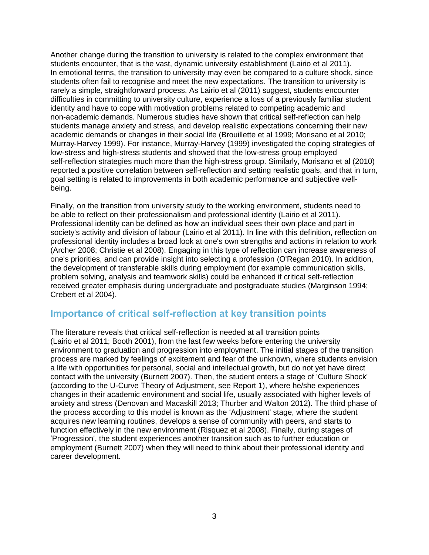Another change during the transition to university is related to the complex environment that students encounter, that is the vast, dynamic university establishment (Lairio et al 2011). In emotional terms, the transition to university may even be compared to a culture shock, since students often fail to recognise and meet the new expectations. The transition to university is rarely a simple, straightforward process. As Lairio et al (2011) suggest, students encounter difficulties in committing to university culture, experience a loss of a previously familiar student identity and have to cope with motivation problems related to competing academic and non-academic demands. Numerous studies have shown that critical self-reflection can help students manage anxiety and stress, and develop realistic expectations concerning their new academic demands or changes in their social life (Brouillette et al 1999; Morisano et al 2010; Murray‐Harvey 1999). For instance, Murray-Harvey (1999) investigated the coping strategies of low-stress and high-stress students and showed that the low-stress group employed self-reflection strategies much more than the high-stress group. Similarly, Morisano et al (2010) reported a positive correlation between self-reflection and setting realistic goals, and that in turn, goal setting is related to improvements in both academic performance and subjective wellbeing.

Finally, on the transition from university study to the working environment, students need to be able to reflect on their professionalism and professional identity (Lairio et al 2011). Professional identity can be defined as how an individual sees their own place and part in society's activity and division of labour (Lairio et al 2011). In line with this definition, reflection on professional identity includes a broad look at one's own strengths and actions in relation to work (Archer 2008; Christie et al 2008). Engaging in this type of reflection can increase awareness of one's priorities, and can provide insight into selecting a profession (O'Regan 2010). In addition, the development of transferable skills during employment (for example communication skills, problem solving, analysis and teamwork skills) could be enhanced if critical self-reflection received greater emphasis during undergraduate and postgraduate studies (Marginson 1994; Crebert et al 2004).

#### **Importance of critical self-reflection at key transition points**

The literature reveals that critical self-reflection is needed at all transition points (Lairio et al 2011; Booth 2001), from the last few weeks before entering the university environment to graduation and progression into employment. The initial stages of the transition process are marked by feelings of excitement and fear of the unknown, where students envision a life with opportunities for personal, social and intellectual growth, but do not yet have direct contact with the university (Burnett 2007). Then, the student enters a stage of 'Culture Shock' (according to the U-Curve Theory of Adjustment, see Report 1), where he/she experiences changes in their academic environment and social life, usually associated with higher levels of anxiety and stress (Denovan and Macaskill 2013; Thurber and Walton 2012). The third phase of the process according to this model is known as the 'Adjustment' stage, where the student acquires new learning routines, develops a sense of community with peers, and starts to function effectively in the new environment (Risquez et al 2008). Finally, during stages of 'Progression', the student experiences another transition such as to further education or employment (Burnett 2007) when they will need to think about their professional identity and career development.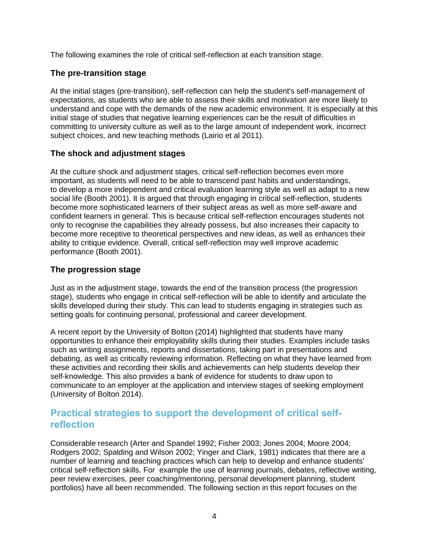The following examines the role of critical self-reflection at each transition stage.

#### **The pre-transition stage**

At the initial stages (pre-transition), self-reflection can help the student's self-management of expectations, as students who are able to assess their skills and motivation are more likely to understand and cope with the demands of the new academic environment. It is especially at this initial stage of studies that negative learning experiences can be the result of difficulties in committing to university culture as well as to the large amount of independent work, incorrect subject choices, and new teaching methods (Lairio et al 2011).

#### **The shock and adjustment stages**

At the culture shock and adjustment stages, critical self-reflection becomes even more important, as students will need to be able to transcend past habits and understandings, to develop a more independent and critical evaluation learning style as well as adapt to a new social life (Booth 2001). It is argued that through engaging in critical self-reflection, students become more sophisticated learners of their subject areas as well as more self-aware and confident learners in general. This is because critical self-reflection encourages students not only to recognise the capabilities they already possess, but also increases their capacity to become more receptive to theoretical perspectives and new ideas, as well as enhances their ability to critique evidence. Overall, critical self-reflection may well improve academic performance (Booth 2001).

#### **The progression stage**

Just as in the adjustment stage, towards the end of the transition process (the progression stage), students who engage in critical self-reflection will be able to identify and articulate the skills developed during their study. This can lead to students engaging in strategies such as setting goals for continuing personal, professional and career development.

A recent report by the University of Bolton (2014) highlighted that students have many opportunities to enhance their employability skills during their studies. Examples include tasks such as writing assignments, reports and dissertations, taking part in presentations and debating, as well as critically reviewing information. Reflecting on what they have learned from these activities and recording their skills and achievements can help students develop their self-knowledge. This also provides a bank of evidence for students to draw upon to communicate to an employer at the application and interview stages of seeking employment (University of Bolton 2014).

### **Practical strategies to support the development of critical selfreflection**

Considerable research (Arter and Spandel 1992; Fisher 2003; Jones 2004; Moore 2004; Rodgers 2002; Spalding and Wilson 2002; Yinger and Clark, 1981) indicates that there are a number of learning and teaching practices which can help to develop and enhance students' critical self-reflection skills. For example the use of learning journals, debates, reflective writing, peer review exercises, peer coaching/mentoring, personal development planning, student portfolios) have all been recommended. The following section in this report focuses on the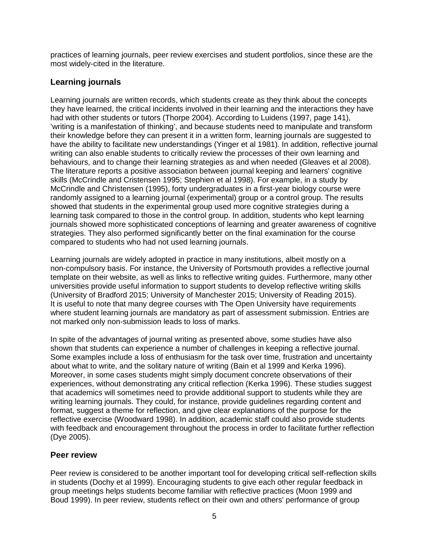practices of learning journals, peer review exercises and student portfolios, since these are the most widely-cited in the literature.

#### **Learning journals**

Learning journals are written records, which students create as they think about the concepts they have learned, the critical incidents involved in their learning and the interactions they have had with other students or tutors (Thorpe 2004). According to Luidens (1997, page 141), 'writing is a manifestation of thinking', and because students need to manipulate and transform their knowledge before they can present it in a written form, learning journals are suggested to have the ability to facilitate new understandings (Yinger et al 1981). In addition, reflective journal writing can also enable students to critically review the processes of their own learning and behaviours, and to change their learning strategies as and when needed (Gleaves et al 2008). The literature reports a positive association between journal keeping and learners' cognitive skills (McCrindle and Cristensen 1995; Stephien et al 1998). For example, in a study by McCrindle and Christensen (1995), forty undergraduates in a first-year biology course were randomly assigned to a learning journal (experimental) group or a control group. The results showed that students in the experimental group used more cognitive strategies during a learning task compared to those in the control group. In addition, students who kept learning journals showed more sophisticated conceptions of learning and greater awareness of cognitive strategies. They also performed significantly better on the final examination for the course compared to students who had not used learning journals.

Learning journals are widely adopted in practice in many institutions, albeit mostly on a non-compulsory basis. For instance, the University of Portsmouth provides a reflective journal template on their website, as well as links to reflective writing guides. Furthermore, many other universities provide useful information to support students to develop reflective writing skills (University of Bradford 2015; University of Manchester 2015; University of Reading 2015). It is useful to note that many degree courses with The Open University have requirements where student learning journals are mandatory as part of assessment submission. Entries are not marked only non-submission leads to loss of marks.

In spite of the advantages of journal writing as presented above, some studies have also shown that students can experience a number of challenges in keeping a reflective journal. Some examples include a loss of enthusiasm for the task over time, frustration and uncertainty about what to write, and the solitary nature of writing (Bain et al 1999 and Kerka 1996). Moreover, in some cases students might simply document concrete observations of their experiences, without demonstrating any critical reflection (Kerka 1996). These studies suggest that academics will sometimes need to provide additional support to students while they are writing learning journals. They could, for instance, provide guidelines regarding content and format, suggest a theme for reflection, and give clear explanations of the purpose for the reflective exercise (Woodward 1998). In addition, academic staff could also provide students with feedback and encouragement throughout the process in order to facilitate further reflection (Dye 2005).

#### **Peer review**

Peer review is considered to be another important tool for developing critical self-reflection skills in students (Dochy et al 1999). Encouraging students to give each other regular feedback in group meetings helps students become familiar with reflective practices (Moon 1999 and Boud 1999). In peer review, students reflect on their own and others' performance of group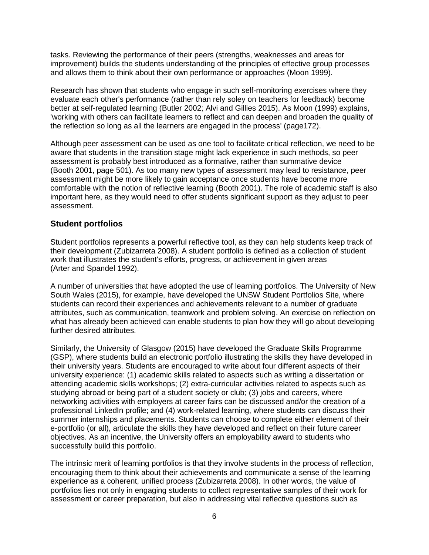tasks. Reviewing the performance of their peers (strengths, weaknesses and areas for improvement) builds the students understanding of the principles of effective group processes and allows them to think about their own performance or approaches (Moon 1999).

Research has shown that students who engage in such self-monitoring exercises where they evaluate each other's performance (rather than rely soley on teachers for feedback) become better at self-regulated learning (Butler 2002; Alvi and Gillies 2015). As Moon (1999) explains, 'working with others can facilitate learners to reflect and can deepen and broaden the quality of the reflection so long as all the learners are engaged in the process' (page172).

Although peer assessment can be used as one tool to facilitate critical reflection, we need to be aware that students in the transition stage might lack experience in such methods, so peer assessment is probably best introduced as a formative, rather than summative device (Booth 2001, page 501). As too many new types of assessment may lead to resistance, peer assessment might be more likely to gain acceptance once students have become more comfortable with the notion of reflective learning (Booth 2001). The role of academic staff is also important here, as they would need to offer students significant support as they adjust to peer assessment.

#### **Student portfolios**

Student portfolios represents a powerful reflective tool, as they can help students keep track of their development (Zubizarreta 2008). A student portfolio is defined as a collection of student work that illustrates the student's efforts, progress, or achievement in given areas (Arter and Spandel 1992).

A number of universities that have adopted the use of learning portfolios. The University of New South Wales (2015), for example, have developed the UNSW Student Portfolios Site, where students can record their experiences and achievements relevant to a number of graduate attributes, such as communication, teamwork and problem solving. An exercise on reflection on what has already been achieved can enable students to plan how they will go about developing further desired attributes.

Similarly, the University of Glasgow (2015) have developed the Graduate Skills Programme (GSP), where students build an electronic portfolio illustrating the skills they have developed in their university years. Students are encouraged to write about four different aspects of their university experience: (1) academic skills related to aspects such as writing a dissertation or attending academic skills workshops; (2) extra-curricular activities related to aspects such as studying abroad or being part of a student society or club; (3) jobs and careers, where networking activities with employers at career fairs can be discussed and/or the creation of a professional LinkedIn profile; and (4) work-related learning, where students can discuss their summer internships and placements. Students can choose to complete either element of their e-portfolio (or all), articulate the skills they have developed and reflect on their future career objectives. As an incentive, the University offers an employability award to students who successfully build this portfolio.

The intrinsic merit of learning portfolios is that they involve students in the process of reflection, encouraging them to think about their achievements and communicate a sense of the learning experience as a coherent, unified process (Zubizarreta 2008). In other words, the value of portfolios lies not only in engaging students to collect representative samples of their work for assessment or career preparation, but also in addressing vital reflective questions such as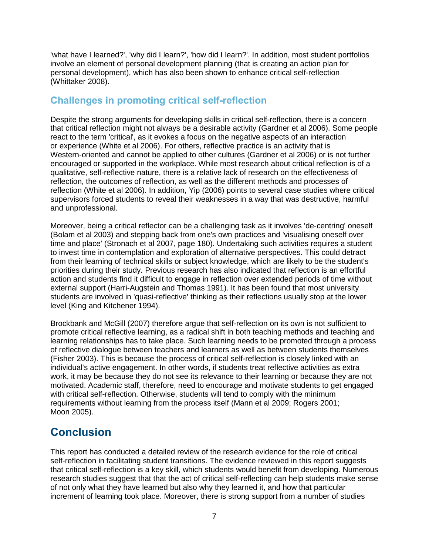'what have I learned?', 'why did I learn?', 'how did I learn?'. In addition, most student portfolios involve an element of personal development planning (that is creating an action plan for personal development), which has also been shown to enhance critical self-reflection (Whittaker 2008).

# **Challenges in promoting critical self-reflection**

Despite the strong arguments for developing skills in critical self-reflection, there is a concern that critical reflection might not always be a desirable activity (Gardner et al 2006). Some people react to the term 'critical', as it evokes a focus on the negative aspects of an interaction or experience (White et al 2006). For others, reflective practice is an activity that is Western-oriented and cannot be applied to other cultures (Gardner et al 2006) or is not further encouraged or supported in the workplace. While most research about critical reflection is of a qualitative, self-reflective nature, there is a relative lack of research on the effectiveness of reflection, the outcomes of reflection, as well as the different methods and processes of reflection (White et al 2006). In addition, Yip (2006) points to several case studies where critical supervisors forced students to reveal their weaknesses in a way that was destructive, harmful and unprofessional.

Moreover, being a critical reflector can be a challenging task as it involves 'de-centring' oneself (Bolam et al 2003) and stepping back from one's own practices and 'visualising oneself over time and place' (Stronach et al 2007, page 180). Undertaking such activities requires a student to invest time in contemplation and exploration of alternative perspectives. This could detract from their learning of technical skills or subject knowledge, which are likely to be the student's priorities during their study. Previous research has also indicated that reflection is an effortful action and students find it difficult to engage in reflection over extended periods of time without external support (Harri-Augstein and Thomas 1991). It has been found that most university students are involved in 'quasi-reflective' thinking as their reflections usually stop at the lower level (King and Kitchener 1994).

Brockbank and McGill (2007) therefore argue that self-reflection on its own is not sufficient to promote critical reflective learning, as a radical shift in both teaching methods and teaching and learning relationships has to take place. Such learning needs to be promoted through a process of reflective dialogue between teachers and learners as well as between students themselves (Fisher 2003). This is because the process of critical self-reflection is closely linked with an individual's active engagement. In other words, if students treat reflective activities as extra work, it may be because they do not see its relevance to their learning or because they are not motivated. Academic staff, therefore, need to encourage and motivate students to get engaged with critical self-reflection. Otherwise, students will tend to comply with the minimum requirements without learning from the process itself (Mann et al 2009; Rogers 2001; Moon 2005).

# **Conclusion**

This report has conducted a detailed review of the research evidence for the role of critical self-reflection in facilitating student transitions. The evidence reviewed in this report suggests that critical self-reflection is a key skill, which students would benefit from developing. Numerous research studies suggest that that the act of critical self-reflecting can help students make sense of not only what they have learned but also why they learned it, and how that particular increment of learning took place. Moreover, there is strong support from a number of studies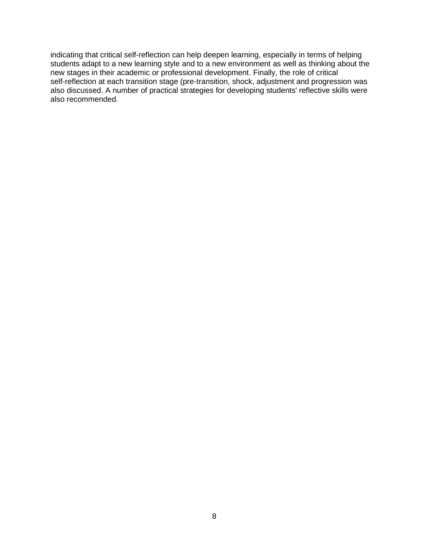indicating that critical self-reflection can help deepen learning, especially in terms of helping students adapt to a new learning style and to a new environment as well as thinking about the new stages in their academic or professional development. Finally, the role of critical self-reflection at each transition stage (pre-transition, shock, adjustment and progression was also discussed. A number of practical strategies for developing students' reflective skills were also recommended.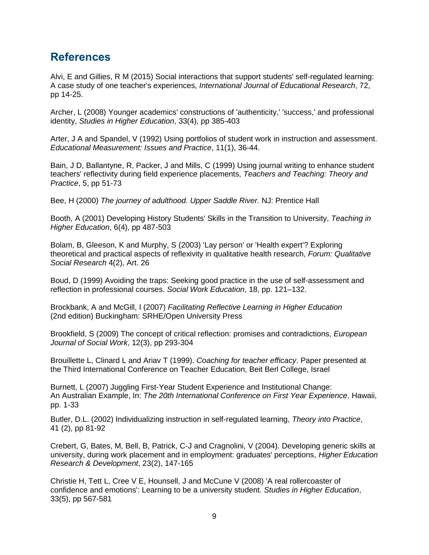# **References**

Alvi, E and Gillies, R M (2015) Social interactions that support students' self-regulated learning: A case study of one teacher's experiences, *International Journal of Educational Research*, 72, pp 14-25.

Archer, L (2008) Younger academics' constructions of 'authenticity,' 'success,' and professional identity, *Studies in Higher Education*, 33(4), pp 385-403

Arter, J A and Spandel, V (1992) Using portfolios of student work in instruction and assessment. *Educational Measurement: Issues and Practice*, 11(1), 36-44.

Bain, J D, Ballantyne, R, Packer, J and Mills, C (1999) Using journal writing to enhance student teachers' reflectivity during field experience placements, *Teachers and Teaching: Theory and Practice*, 5, pp 51-73

Bee, H (2000) *The journey of adulthood. Upper Saddle River.* NJ: Prentice Hall

Booth, A (2001) Developing History Students' Skills in the Transition to University, *Teaching in Higher Education*, 6(4), pp 487-503

Bolam, B, Gleeson, K and Murphy, S (2003) 'Lay person' or 'Health expert'? Exploring theoretical and practical aspects of reflexivity in qualitative health research, *Forum: Qualitative Social Research* 4(2), Art. 26

Boud, D (1999) Avoiding the traps: Seeking good practice in the use of self-assessment and reflection in professional courses. *Social Work Education*, 18, pp. 121–132.

Brockbank, A and McGill, I (2007) *Facilitating Reflective Learning in Higher Education* (2nd edition) Buckingham: SRHE/Open University Press

Brookfield, S (2009) The concept of critical reflection: promises and contradictions, *European Journal of Social Work*, 12(3), pp 293-304

Brouillette L, Clinard L and Ariav T (1999). *Coaching for teacher efficacy*. Paper presented at the Third International Conference on Teacher Education, Beit Berl College, Israel

Burnett, L (2007) Juggling First-Year Student Experience and Institutional Change: An Australian Example, In: *The 20th International Conference on First Year Experience*. Hawaii, pp. 1-33

Butler, D.L. (2002) Individualizing instruction in self-regulated learning, *Theory into Practice*, 41 (2), pp 81-92

Crebert, G, Bates, M, Bell, B, Patrick, C-J and Cragnolini, V (2004). Developing generic skills at university, during work placement and in employment: graduates' perceptions, *Higher Education Research & Development*, 23(2), 147-165

Christie H, Tett L, Cree V E, Hounsell, J and McCune V (2008) 'A real rollercoaster of confidence and emotions': Learning to be a university student. *Studies in Higher Education*, 33(5), pp 567-581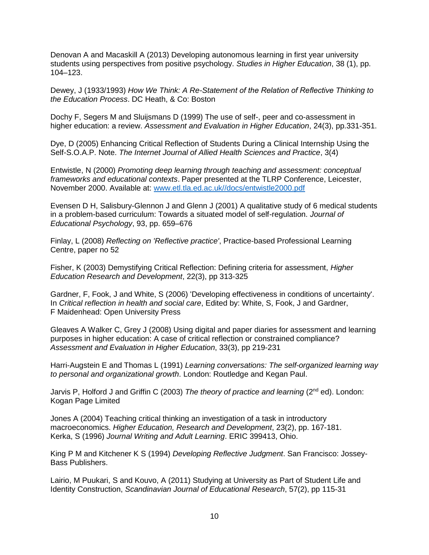Denovan A and Macaskill A (2013) Developing autonomous learning in first year university students using perspectives from positive psychology. *Studies in Higher Education*, 38 (1), pp. 104–123.

Dewey, J (1933/1993) *How We Think: A Re-Statement of the Relation of Reflective Thinking to the Education Process*. DC Heath, & Co: Boston

Dochy F, Segers M and Sluijsmans D (1999) The use of self-, peer and co-assessment in higher education: a review. *Assessment and Evaluation in Higher Education*, 24(3), pp.331-351.

Dye, D (2005) Enhancing Critical Reflection of Students During a Clinical Internship Using the Self-S.O.A.P. Note. *The Internet Journal of Allied Health Sciences and Practice*, 3(4)

Entwistle, N (2000) *Promoting deep learning through teaching and assessment: conceptual frameworks and educational contexts*. Paper presented at the TLRP Conference, Leicester, November 2000. Available at: [www.etl.tla.ed.ac.uk//docs/entwistle2000.pdf](http://www.etl.tla.ed.ac.uk/docs/entwistle2000.pdf)

Evensen D H, Salisbury-Glennon J and Glenn J (2001) A qualitative study of 6 medical students in a problem-based curriculum: Towards a situated model of self-regulation. *Journal of Educational Psychology*, 93, pp. 659–676

Finlay, L (2008) *Reflecting on 'Reflective practice'*, Practice-based Professional Learning Centre, paper no 52

Fisher, K (2003) Demystifying Critical Reflection: Defining criteria for assessment, *Higher Education Research and Development*, 22(3), pp 313-325

Gardner, F, Fook, J and White, S (2006) 'Developing effectiveness in conditions of uncertainty'. In *Critical reflection in health and social care*, Edited by: White, S, Fook, J and Gardner, F Maidenhead: Open University Press

Gleaves A Walker C, Grey J (2008) Using digital and paper diaries for assessment and learning purposes in higher education: A case of critical reflection or constrained compliance? *Assessment and Evaluation in Higher Education*, 33(3), pp 219-231

Harri-Augstein E and Thomas L (1991) *Learning conversations: The self-organized learning way to personal and organizational growth*. London: Routledge and Kegan Paul.

Jarvis P, Holford J and Griffin C (2003) *The theory of practice and learning* (2nd ed). London: Kogan Page Limited

Jones A (2004) Teaching critical thinking an investigation of a task in introductory macroeconomics. *Higher Education, Research and Development*, 23(2), pp. 167-181. Kerka, S (1996) *Journal Writing and Adult Learning*. ERIC 399413, Ohio.

King P M and Kitchener K S (1994) *Developing Reflective Judgment*. San Francisco: Jossey-Bass Publishers.

Lairio, M Puukari, S and Kouvo, A (2011) Studying at University as Part of Student Life and Identity Construction, *Scandinavian Journal of Educational Research*, 57(2), pp 115-31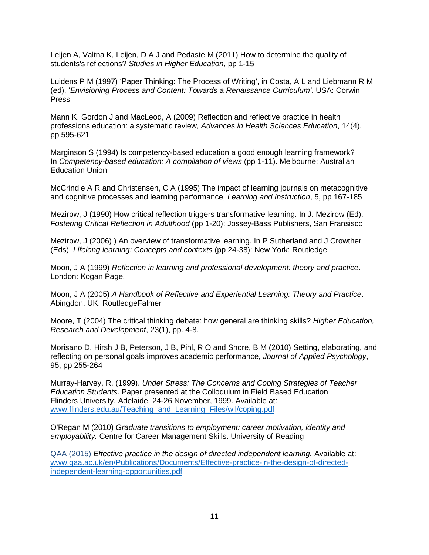Leijen A, Valtna K, Leijen, D A J and Pedaste M (2011) How to determine the quality of students's reflections? *Studies in Higher Education*, pp 1-15

Luidens P M (1997) 'Paper Thinking: The Process of Writing', in Costa, A L and Liebmann R M (ed), '*Envisioning Process and Content: Towards a Renaissance Curriculum'*. USA: Corwin Press

Mann K, Gordon J and MacLeod, A (2009) Reflection and reflective practice in health professions education: a systematic review, *Advances in Health Sciences Education*, 14(4), pp 595-621

Marginson S (1994) Is competency-based education a good enough learning framework? In *Competency-based education: A compilation of views* (pp 1-11). Melbourne: Australian Education Union

McCrindle A R and Christensen, C A (1995) The impact of learning journals on metacognitive and cognitive processes and learning performance, *Learning and Instruction*, 5, pp 167-185

Mezirow, J (1990) How critical reflection triggers transformative learning. In J. Mezirow (Ed). *Fostering Critical Reflection in Adulthood* (pp 1-20): Jossey-Bass Publishers, San Fransisco

Mezirow, J (2006) ) An overview of transformative learning. In P Sutherland and J Crowther (Eds), *Lifelong learning: Concepts and contexts* (pp 24-38): New York: Routledge

Moon, J A (1999) *Reflection in learning and professional development: theory and practice*. London: Kogan Page.

Moon, J A (2005) *A Handbook of Reflective and Experiential Learning: Theory and Practice*. Abingdon, UK: RoutledgeFalmer

Moore, T (2004) The critical thinking debate: how general are thinking skills? *Higher Education, Research and Development*, 23(1), pp. 4-8.

Morisano D, Hirsh J B, Peterson, J B, Pihl, R O and Shore, B M (2010) Setting, elaborating, and reflecting on personal goals improves academic performance, *Journal of Applied Psychology*, 95, pp 255-264

Murray-Harvey, R. (1999). *Under Stress: The Concerns and Coping Strategies of Teacher Education Students*. Paper presented at the Colloquium in Field Based Education Flinders University, Adelaide. 24-26 November, 1999. Available at: [www.flinders.edu.au/Teaching\\_and\\_Learning\\_Files/wil/coping.pdf](https://www.flinders.edu.au/Teaching_and_Learning_Files/wil/coping.pdf)

O'Regan M (2010) *Graduate transitions to employment: career motivation, identity and employability.* Centre for Career Management Skills. University of Reading

QAA (2015) *Effective practice in the design of directed independent learning.* Available at: [www.qaa.ac.uk/en/Publications/Documents/Effective-practice-in-the-design-of-directed](http://www.qaa.ac.uk/en/Publications/Documents/Effective-practice-in-the-design-of-directed-independent-learning-opportunities.pdf)[independent-learning-opportunities.pdf](http://www.qaa.ac.uk/en/Publications/Documents/Effective-practice-in-the-design-of-directed-independent-learning-opportunities.pdf)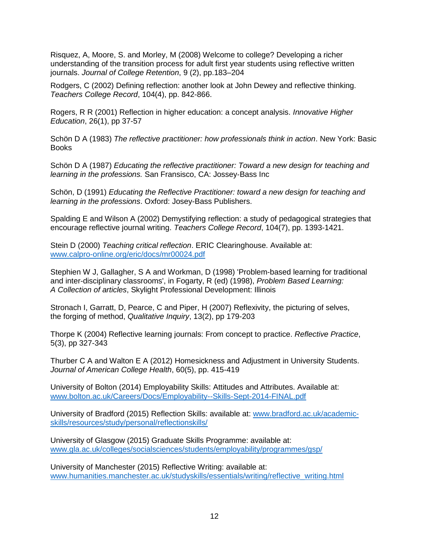Risquez, A, Moore, S. and Morley, M (2008) Welcome to college? Developing a richer understanding of the transition process for adult first year students using reflective written journals. *Journal of College Retention*, 9 (2), pp.183–204

Rodgers, C (2002) Defining reflection: another look at John Dewey and reflective thinking. *Teachers College Record*, 104(4), pp. 842-866.

Rogers, R R (2001) Reflection in higher education: a concept analysis. *Innovative Higher Education*, 26(1), pp 37-57

Schön D A (1983) *The reflective practitioner: how professionals think in action*. New York: Basic **Books** 

Schön D A (1987) *Educating the reflective practitioner: Toward a new design for teaching and learning in the professions.* San Fransisco, CA: Jossey‐Bass Inc

Schön, D (1991) *Educating the Reflective Practitioner: toward a new design for teaching and learning in the professions*. Oxford: Josey-Bass Publishers.

Spalding E and Wilson A (2002) Demystifying reflection: a study of pedagogical strategies that encourage reflective journal writing. *Teachers College Record*, 104(7), pp. 1393-1421.

Stein D (2000) *Teaching critical reflection*. ERIC Clearinghouse. Available at: [www.calpro-online.org/eric/docs/mr00024.pdf](http://www.calpro-online.org/eric/docs/mr00024.pdf)

Stephien W J, Gallagher, S A and Workman, D (1998) 'Problem-based learning for traditional and inter-disciplinary classrooms', in Fogarty, R (ed) (1998), *Problem Based Learning: A Collection of articles*, Skylight Professional Development: Illinois

Stronach I, Garratt, D, Pearce, C and Piper, H (2007) Reflexivity, the picturing of selves, the forging of method, *Qualitative Inquiry*, 13(2), pp 179-203

Thorpe K (2004) Reflective learning journals: From concept to practice. *Reflective Practice*, 5(3), pp 327-343

Thurber C A and Walton E A (2012) Homesickness and Adjustment in University Students. *Journal of American College Health*, 60(5), pp. 415-419

University of Bolton (2014) Employability Skills: Attitudes and Attributes. Available at: [www.bolton.ac.uk/Careers/Docs/Employability--Skills-Sept-2014-FINAL.pdf](http://www.bolton.ac.uk/Careers/Docs/Employability--Skills-Sept-2014-FINAL.pdf)

University of Bradford (2015) Reflection Skills: available at: [www.bradford.ac.uk/academic](http://www.bradford.ac.uk/academic-skills/resources/study/personal/reflectionskills/)[skills/resources/study/personal/reflectionskills/](http://www.bradford.ac.uk/academic-skills/resources/study/personal/reflectionskills/)

University of Glasgow (2015) Graduate Skills Programme: available at: [www.gla.ac.uk/colleges/socialsciences/students/employability/programmes/gsp/](http://www.gla.ac.uk/colleges/socialsciences/students/employability/programmes/gsp/)

University of Manchester (2015) Reflective Writing: available at: [www.humanities.manchester.ac.uk/studyskills/essentials/writing/reflective\\_writing.html](http://www.humanities.manchester.ac.uk/studyskills/essentials/writing/reflective_writing.html)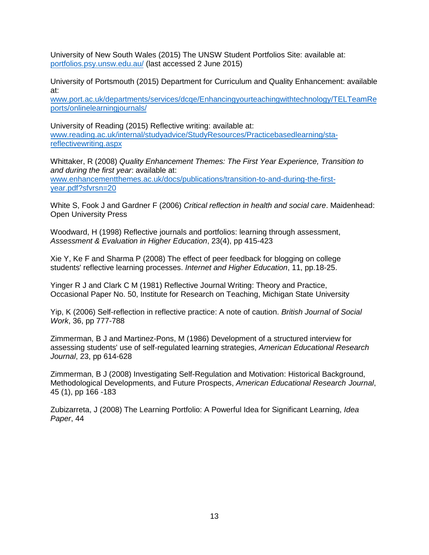University of New South Wales (2015) The UNSW Student Portfolios Site: available at: [portfolios.psy.unsw.edu.au/](http://portfolios.psy.unsw.edu.au/) (last accessed 2 June 2015)

University of Portsmouth (2015) Department for Curriculum and Quality Enhancement: available at:

[www.port.ac.uk/departments/services/dcqe/Enhancingyourteachingwithtechnology/TELTeamRe](http://www.port.ac.uk/departments/services/dcqe/Enhancingyourteachingwithtechnology/TELTeamReports/onlinelearningjournals/) [ports/onlinelearningjournals/](http://www.port.ac.uk/departments/services/dcqe/Enhancingyourteachingwithtechnology/TELTeamReports/onlinelearningjournals/)

University of Reading (2015) Reflective writing: available at: [www.reading.ac.uk/internal/studyadvice/StudyResources/Practicebasedlearning/sta](http://www.reading.ac.uk/internal/studyadvice/StudyResources/Practicebasedlearning/sta-reflectivewriting.aspx)[reflectivewriting.aspx](http://www.reading.ac.uk/internal/studyadvice/StudyResources/Practicebasedlearning/sta-reflectivewriting.aspx)

Whittaker, R (2008) *Quality Enhancement Themes: The First Year Experience, Transition to and during the first year*: available at: [www.enhancementthemes.ac.uk/docs/publications/transition-to-and-during-the-first](http://www.enhancementthemes.ac.uk/docs/publications/transition-to-and-during-the-first-year.pdf?sfvrsn=20)[year.pdf?sfvrsn=20](http://www.enhancementthemes.ac.uk/docs/publications/transition-to-and-during-the-first-year.pdf?sfvrsn=20)

White S, Fook J and Gardner F (2006) *Critical reflection in health and social care*. Maidenhead: Open University Press

Woodward, H (1998) Reflective journals and portfolios: learning through assessment, *Assessment & Evaluation in Higher Education*, 23(4), pp 415-423

Xie Y, Ke F and Sharma P (2008) The effect of peer feedback for blogging on college students' reflective learning processes. *Internet and Higher Education*, 11, pp.18-25.

Yinger R J and Clark C M (1981) Reflective Journal Writing: Theory and Practice, Occasional Paper No. 50, Institute for Research on Teaching, Michigan State University

Yip, K (2006) Self-reflection in reflective practice: A note of caution. *British Journal of Social Work*, 36, pp 777-788

Zimmerman, B J and Martinez-Pons, M (1986) Development of a structured interview for assessing students' use of self-regulated learning strategies, *American Educational Research Journal*, 23, pp 614-628

Zimmerman, B J (2008) Investigating Self-Regulation and Motivation: Historical Background, Methodological Developments, and Future Prospects, *American Educational Research Journal*, 45 (1), pp 166 -183

Zubizarreta, J (2008) The Learning Portfolio: A Powerful Idea for Significant Learning, *Idea Paper*, 44